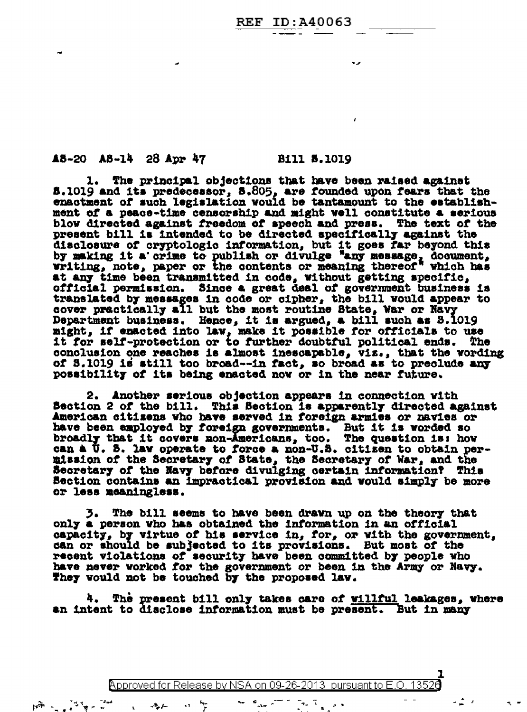#### **REF ID:A40063**

#### A8-20 A8-14 28 Apr 47 Bill 8.1019

 $\overline{\phantom{a}}$ 

1. The principal objections that have been raised against 5.1019 and its predecessor, 5.805, are founded upon fears that the enactment of such legislation would be tantamount to the establishment of a peace-time censorship and might well constitute a serious blow directed against freedom of speech and press. The text of the present bill is intended to be directed specifically against the disclosure of cryptologic information, but it goes far beyond this by making it a crime to publish or divulge "any message, document, writing, note, paper or the contents or meaning thereof" which has at any time been transmitted in code, without getting specific, official permission. Since a great deal of government business is translated by messages in code or cipher, the bill would appear to cover practically all but the most routine State, War or Navy Department business. Hence, it is argued, a bill such as 8.1019 might, if enacted into law, make it possible for officials to use it for self-protection or to further doubtful political ends. The conclusion one reaches is almost inescapable, viz., that the wording of S.1019 is still too broad--in fact, so broad as to preclude any possibility of its being enacted now or in the near future.

2. Another serious objection appears in connection with Section 2 of the bill. This Section is apparently directed against American sitisens who have served in foreign armies or navies or<br>have been employed by foreign governments. But it is worded so<br>broadly that it covers non-Americans, too. The question is: how<br>can a U. S. law operate to for mission of the Secretary of State, the Secretary of War, and the Secretary of the Navy before divulging certain information? This Section contains an impractical provision and would simply be more or less meaningless.

3. The bill seems to have been drawn up on the theory that only a person who has obtained the information in an official capacity, by virtue of his service in, for, or with the government, can or should be subjected to its provisions. But most of the recent violations of security have been committed by people who have never worked for the government or been in the Army or Navy. They would not be touched by the proposed law.

4. The present bill only takes care of willful leakages, where an intent to disclose information must be present. But in many

Approved for Release by NSA on 09-26-2013 pursuant to E.O. 13526

 $\frac{1}{2}$  ,  $\frac{1}{2}$ 

Companies of the companies of the companies of

 $\mu\widetilde{\mathfrak{m}}_{\mathbb{Z}}\sim_{\mathbb{Z}_{\mathrm{c}}}\widetilde{\mathbb{Z}}^{\mathbb{Z}_{\mathrm{c}}}\widetilde{\mathfrak{m}}_{\mathbb{Z}}\sim\widetilde{\mathbb{Z}}^{\mathrm{int}}$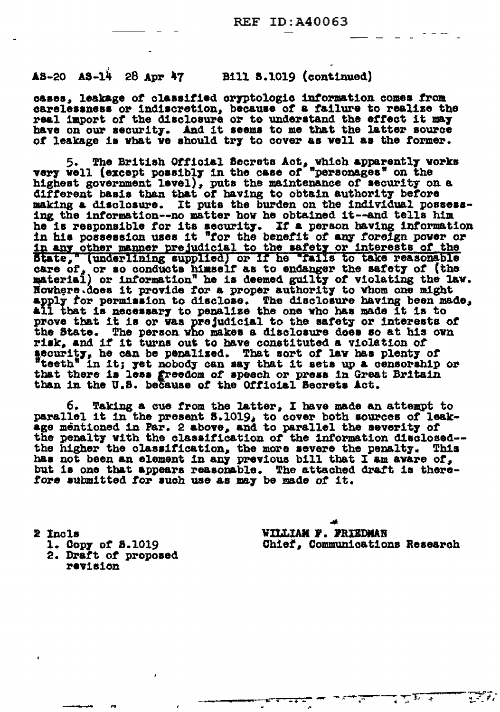### A8-20 A8-14 28 Apr 47 Bill 8.1019 (continued)

cases, leakage of classified cryptologic information comes from carelessness or indiscretion, because of a failure to realize the real import of the disclosure or to understand the effect it may have on our security. And it seems to me that the latter source of leakage is what we should try to cover as well as the former.

5. The British Official Secrets Act, which apparently works<br>very well (except possibly in the case of "personages" on the highest government level), puts the maintenance of security on a different basis than that of having to obtain authority before making a disclosure. It puts the burden on the individual possessing the information--no matter how he obtained it--and tells him he is responsible for its security. If a person having information ne is responsible for its security. If a person naving information<br>in his possession uses it "for the benefit of any foreign power or<br>in any other manner prejudicial to the safety or interests of the<br>State," (underlining s apply for permission to disclose. The disclosure having been made, all that is necessary to penalize the one who has made it is to prove that it is or was prejudicial to the safety or interests of the State. The person who makes a disclosure does so at his own risk, and if it turns out to have constituted a violation of security, he can be penalized. That sort of lav has plenty of teeth" in it; yet nobody can say that it sets up a censorship or<br>that there is less greedom of speech or press in Great Britain than in the U.S. because of the Official Becrets Act.

Taking a cue from the latter, I have made an attempt to ь. parallel it in the present S.1019, to cover both sources of leak-age mentioned in Par. 2 above, and to parallel the severity of the penalty with the classification of the information disclosed-the higher the classification, the more severe the penalty. This has not been an element in any previous bill that I am avare of, but is one that appears reasonable. The attached draft is therefore submitted for such use as may be made of it.

2 Incls 1. Copy of 8.1019 2. Draft of proposed revision

WILLIAM F. FRIEDMAN Chief, Communications Research

 $\frac{1}{2}$  ,  $\frac{1}{2}$  ,  $\frac{1}{2}$ 

∶रूम र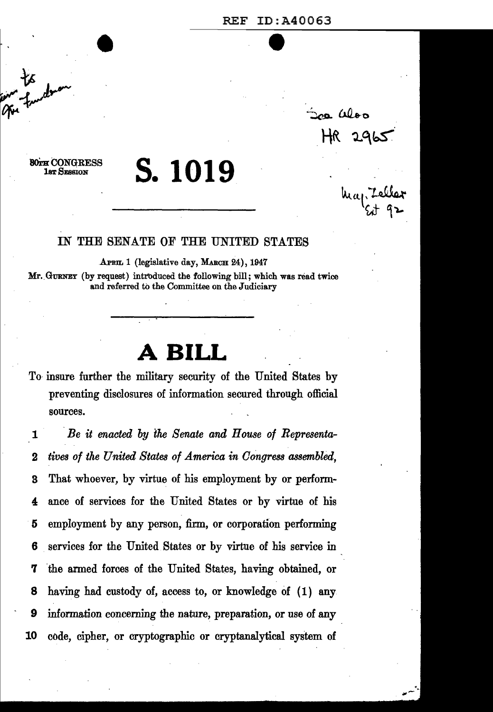# REF ID:A40063

sa aloo

# s. **1019**

•

80TH CONGRESS **1sr SESSION** 

#### IN THE SENATE OF THE UNITED STATES

APRIL 1 (legislative day, MARCH 24), 1947 Mr. GURNEY (by request) introduced the following bill; which was read twice and referred to the Committee on the Judiciary

## **A BILL**

To insure further the military security of the United States by preventing disclosures of information secured through official sources.

1 *Be it enacted by* the *Senate and House of Representa-*2 *tives of the United States of America in Congress assembled,*  3 That whoever, by virtue of his employment by or perform-4 ance of services for the United States or by virtue of his 5 employment by any person, firm, or corporation performing 6 . services for the United States or by virtue of his service in 7 'the armed forces of the United States, having obtained, or 8 having had custody of, access to, or knowledge of (1) any 9 information concerning the nature, preparation, or use of any 10 code, cipher, or cryptographic or cryptanalytical system of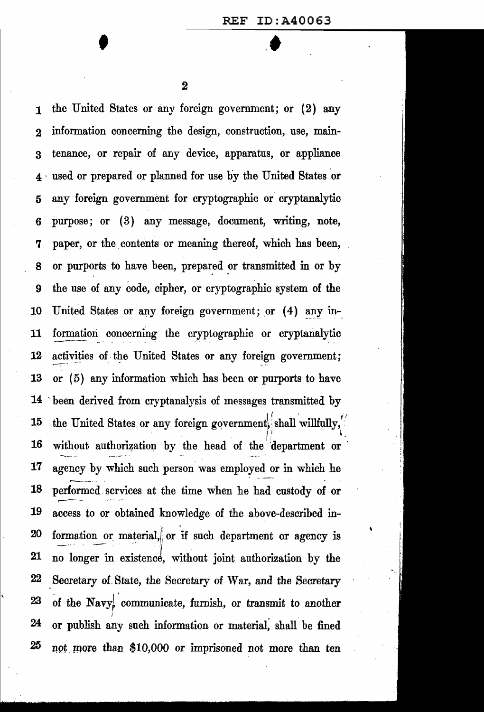$\ddot{\phantom{0}}$ 

2

'

1 the United States or any foreign government; or (2) any 2 information concerning the design, construction, use, main-3 tenance, or repair of any device, apparatus, or appliance 4 · used or prepared or planned for use by the United States 'or 5 any foreign government for cryptographic or cryptanalytic 6 purpose; or ( 3) any message, document, writing, note, 7 paper, or the contents or meaning thereof, which has been, 8 or purports to have been, prepared or transmitted in or by 9 the use of any code, cipher, or cryptographic system of the 10 United States or any foreign government; or (4) any in-11 formation concerning the cryptographic or cryptanalytic 12 activities of the United States or any foreign government; 13 or (5) any information which has been or purports to have 14 -been derived from cryptanalysis of messages transmitted by 15 the United States or any foreign government, shall willfully, . If  $\mathbb{R}^n$  is a subset of  $\mathbb{R}^n$  is a subset of  $\mathbb{R}^n$ 16 without authorization by the head of the department or 17 agency by which such person was employed or in which he 18 performed services at the time when he had custody of or 19 access to or obtained knowledge of the above-described in- $20$  formation or material, or if such department or agency is 0 21 no longer in existence, without joint authorization by the  $22$  Secretary of State, the Secretary of War, and the Secretary  $23$  of the Navy<sub>s</sub> communicate, furnish, or transmit to another 24 or publish any such information or material, shall be fined  $25$  not more than \$10,000 or imprisoned not more than ten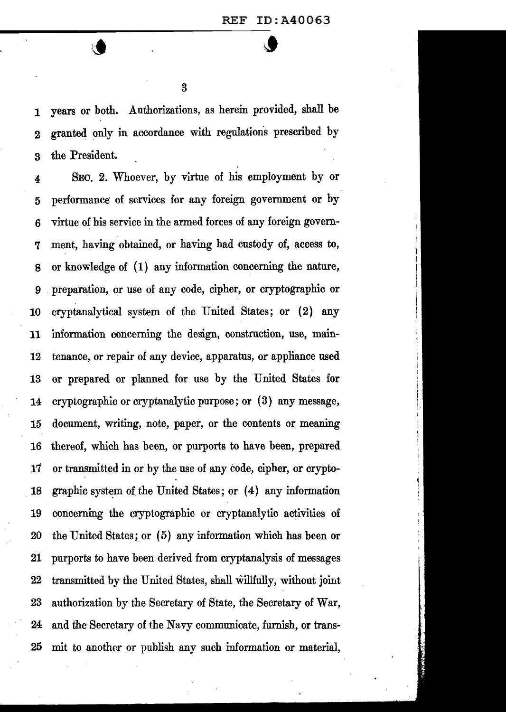1 years or both. Authorizations, as herein provided, shall be 2 granted only in accordance with regulations prescribed by 3 the President.

4 SEO. 2. Whoever, by virtue of his employment by or 5 performance of services for any foreign government or by 6 virtue of his service in the armed forces of any foreign govern-7 ment, having obtained, or having had custody of, access to, 8 or knowledge of (1) any information concerning the nature, 9 preparation, or use of any code, cipher, or cryptographic or 10 cryptanalytical system of the United States; or (2) any 11 information concerning the design, construction, use, main-12 tenance, or repair of any device, apparatus, or appliance used 13 or prepared or planned for use by the United States for 14 cryptographic or cryptanalytic purpose; or (3) any message, 15 document, writing, note, paper, or the contents or meaning 16 thereof, which has been, or purports to have been, prepared 17 or transmitted in or by the use of any code, cipher, or crypto-18 graphic system of the United States; or  $(4)$  any information 19 concerning the cryptographic or cryptanalytic activities of 20 the United States; or (5) any information which has been or 21 purports to have been derived from cryptanalysis of messages 22 transmitted by the United States, shall willfully, without joint 23 authorization by the Secretary of State, the Secretary of War, 24 and the Secretary of the Navy communicate, furnish, or trans-25 mit to another or publish any such information or material,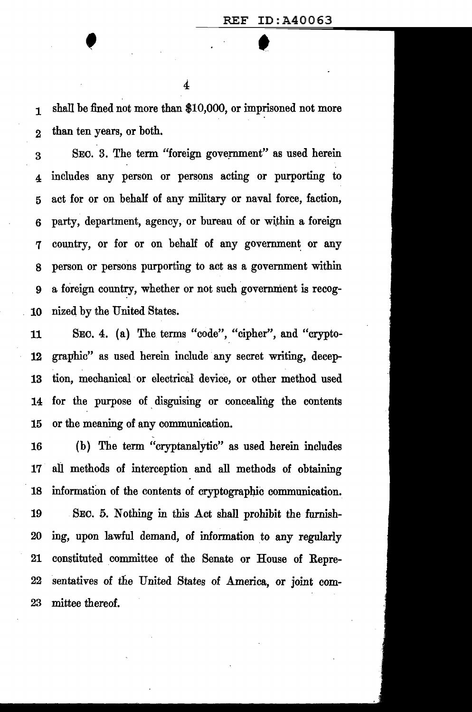1 shall be fined not more than \$10,000, or imprisoned not more 2 than ten years, or both.

3 SEC. 3. The term "foreign gove;rnment" as used herein 4 includes any person or persons acting or purporting to 5 act for or on behaH of any military or naval force, faction, 6 party, department, agency, or bureau of or within a foreign 7 country, or for or on behalf of any government or any s person or persons purporting to act as a government within 9 a foreign country, whether or not such government is recog-10 nized by the United States.

11 SEC. 4. (a) The terms "code", "cipher", and "crypto-12 graphic" as used herein include any secret writing, decep-13 tion, mechanical or electrical device, or other method used 14 for the purpose of disguising or concealing the contents 15 or the meaning of any communication.

16 (b) The term "cryptanalytic" as used herein includes 17 all methods of interception and all methods of obtaining 18 information of the contents of cryptographic communication. 19 SEC. 5. Nothing in this Act shall prohibit the furnish-20 ing, upon lawful demand, of information \_to any regularly 21 constituted committee of the Senate or House of Repre-22 sentatives of the United States of America, or joint com-23 mittee thereof.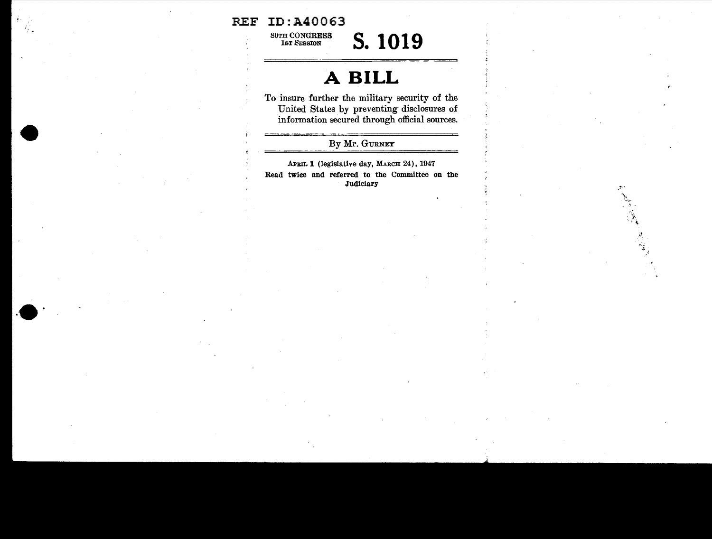#### REF ID:A40063

80TH CONGRESS<br>1st Session

lST SESSI01' **s. 1019** 

## **A BILL**

To insure further the military security of the United States by preventing disclosures of information secured through official sources.

#### By Mr. GURNEY

APBIL 1 (legislative day, MARCH 24), 1947 Read twice and referred to the Committee on the **Judiciary**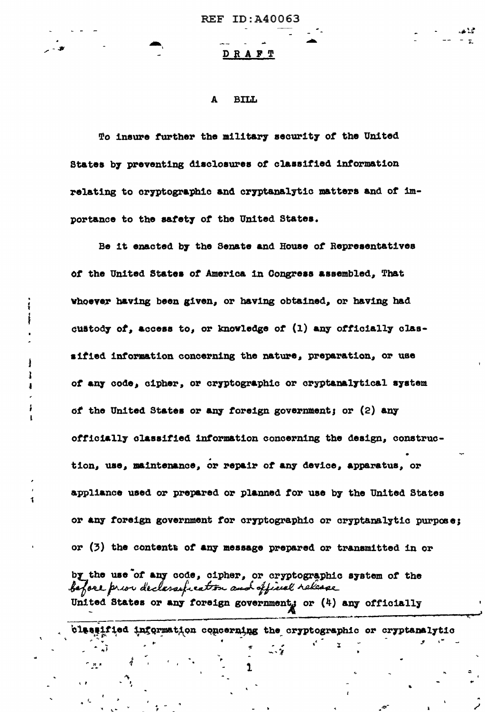#### DRAFT

#### A **BILL**

To insure further the military security of the United States by preventing disclosures of classified information relating to cryptographic and cryptanalytic matters and of importance to the safety of the United States.

Be it enacted by the Senate and House of Representatives of the United States of America in Congress assembled, That whoever having been given, or having obtained, or having had custody of, access to, or knowledge of (1) any officially classified information concerning the nature, preparation, or use of any code, cipher, or cryptographic or cryptanalytical system of the United States or any foreign government; or (2) any officially classified information concerning the design, construction, use, maintenance, or repair of any device, apparatus, or appliance used or prepared or planned for use by the United States or any foreign government for cryptographic or cryptanalytic purpose; or (3) the contents of any message prepared or transmitted in or by the use of any code, cipher, or cryptographic system of the before prior declarage cation and official release United States or any foreign government, or (4) any officially

classified information concerning the cryptographic or cryptanalytic

 $\sim$   $\frac{1}{2}$ 

تمد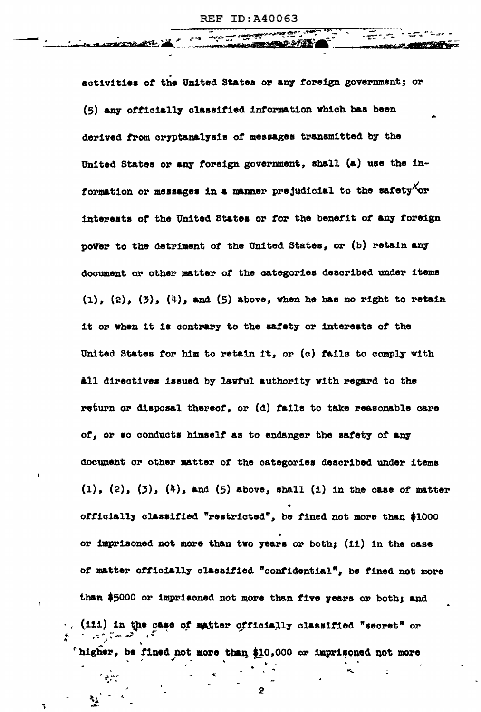activities of the United States or any foreign government; or (5) any officially classified information which has been derived from cryptanalysis of messages transmitted by the United States or any foreign government, shall (a) use the information or messages in a manner prejudicial to the safety or interests of the United States or for the benefit of any foreign power to the detriment of the United States, or (b) retain any document or other matter of the categories described under items  $(1)$ ,  $(2)$ ,  $(3)$ ,  $(4)$ , and  $(5)$  above, when he has no right to retain it or when it is contrary to the safety or interests of the United States for him to retain it, or (c) fails to comply with all directives issued by lawful authority with regard to the return or disposal thereof, or  $(d)$  fails to take reasonable care of, or so conducts himself as to endanger the safety of any document or other matter of the categories described under items  $(1)$ ,  $(2)$ ,  $(3)$ ,  $(4)$ , and  $(5)$  above, shall  $(1)$  in the case of matter officially classified "restricted", be fined not more than \$1000 or imprisoned not more than two years or both; (11) in the case of matter officially classified "confidential", be fined not more than \$5000 or imprisoned not more than five years or both; and (iii) in the case of matter officially classified "secret" or higher, be fined not more than \$10,000 or imprisoned not more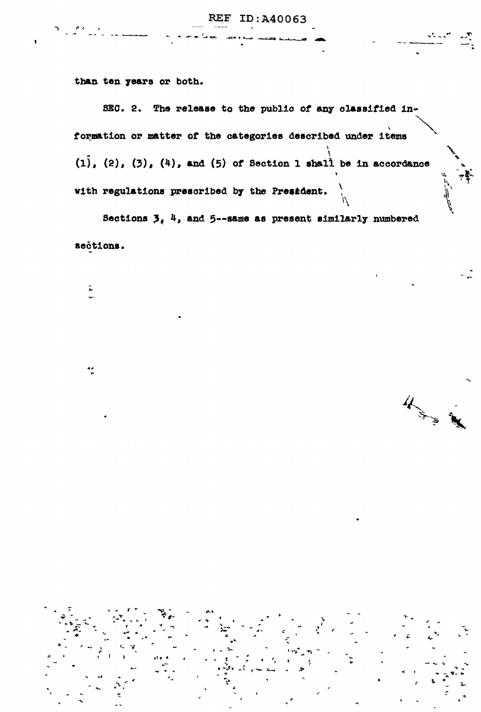than ten years or both.

SEC. 2. The release to the public of any classified information or matter of the categories described under items  $(1)$ ,  $(2)$ ,  $(3)$ ,  $(4)$ , and  $(5)$  of Section 1 shall be in accordance with regulations prescribed by the President.

Sections  $3, 4$ , and 5--same as present similarly numbered sections.

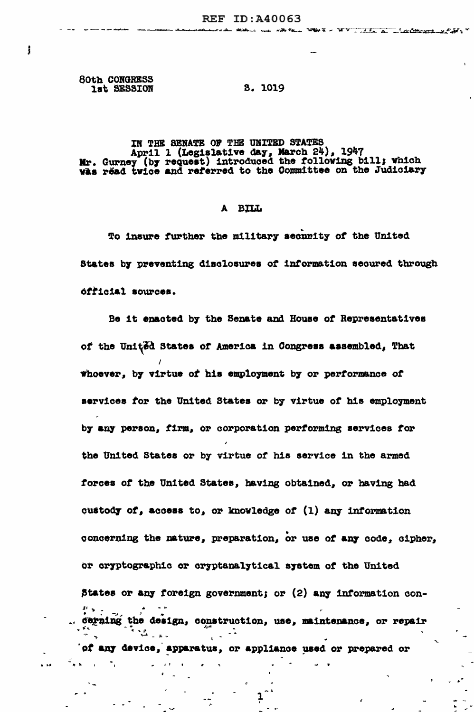80th CONGRESS lat SESSION

j

#### **S. 1019**

## IN THE SENATE OF THE UNITED STATES April 1 (Legislative day, March 24), 1947<br>Mr. Gurney (by request) introduced the following bill; which was read twice and referred to the Committee on the Judiciary

#### A BILL

To insure further the military secunity of the United States by preventing disclosures of information secured through official sources.

Be it enacted by the Senate and House of Representatives of the United States of America in Congress assembled, That whoever, by virtue of his employment by or performance of services for the United States or by virtue of his employment by any person, firm, or corporation performing services for the United States or by virtue of his service in the armed forces of the United States, having obtained, or having had custody of, access to, or knowledge of (1) any information concerning the nature, preparation, or use of any code, cipher, or cryptographic or cryptanalytical system of the United States or any foreign government; or (2) any information concerning the design, construction, use, maintenance, or repair 'of any device, apparatus, or appliance used or prepared or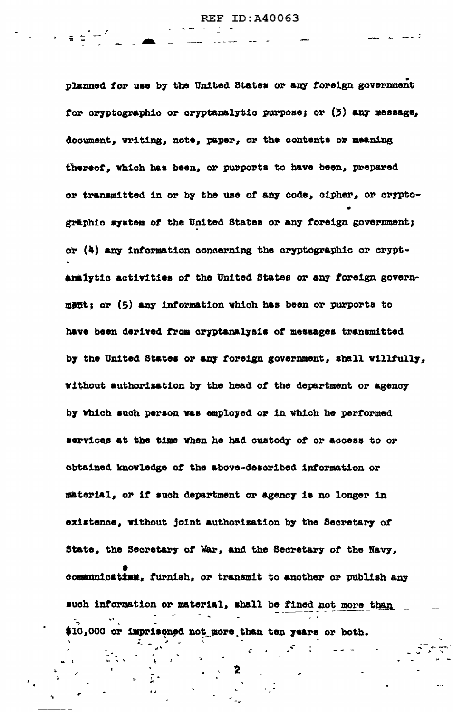تجمعت

 $\label{eq:2.1} \mathcal{L}(\mathcal{L}) = \mathcal{L}(\mathcal{L}) = \frac{1}{2} \sum_{i=1}^{n} \mathcal{L}(\mathcal{L}) \mathcal{L}(\mathcal{L})$ 

planned for use by the United States or any foreign government for cryptographic or cryptanalytic purpose; or (3) any message, document, writing, note, paper, or the contents or meaning thereof, which has been, or purports to have been, prepared or transmitted in or by the use of any code, cipher, or cryptographic system of the United States or any foreign government; or (4) any information concerning the cryptographic or cryptanalytic activities of the United States or any foreign government; or (5) any information which has been or purports to have been derived from cryptanalysis of messages transmitted by the United States or any foreign government, shall willfully, without authorization by the head of the department or agency by which such person was employed or in which he performed services at the time when he had oustody of or access to or obtained knowledge of the above-described information or material, or if such department or agency is no longer in existence, without joint authorization by the Secretary of State, the Secretary of War, and the Secretary of the Navy, communicatism. furnish, or transmit to another or publish any such information or material, shall be fined not more than \$10,000 or imprisoned not more than ten years or both.

ing and a finite service of the service of the service of the service of the service of the service of the service of the service of the service of the service of the service of the service of the service of the service of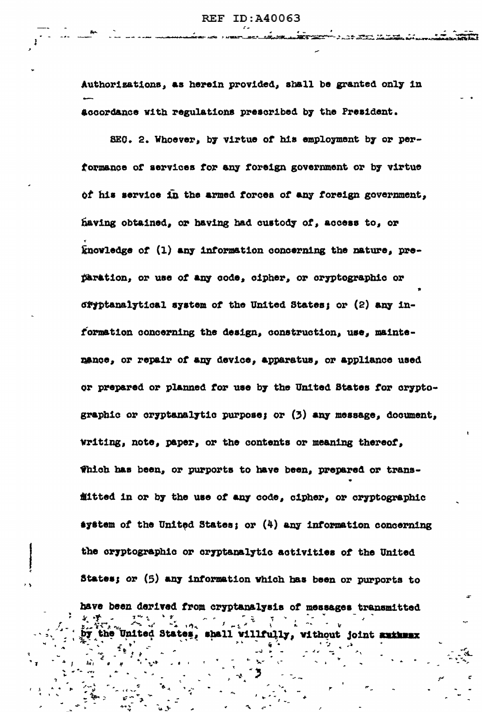a de mar di também

Authorizations, as herein provided, shall be granted only in accordance with regulations prescribed by the President.

SEC. 2. Whoever, by virtue of his employment by or performance of services for any foreign government or by virtue of his service in the armed forces of any foreign government, having obtained, or having had custody of, access to, or knowledge of (1) any information concerning the nature, preparation, or use of any code, cipher, or cryptographic or oryptanalytical system of the United States; or (2) any information concerning the design, construction, use, maintenance, or repair of any device, apparatus, or appliance used or prepared or planned for use by the United States for cryptographic or cryptanalytic purpose; or (3) any message, document, writing, note, paper, or the contents or meaning thereof, Thich has been, or purports to have been, prepared or transfitted in or by the use of any code, cipher, or cryptographic system of the United States; or  $(4)$  any information concerning the cryptographic or cryptanalytic activities of the United States; or (5) any information which has been or purports to have been derived from cryptanalysis of messages transmitted

the United States, shall willfully, without joint authwax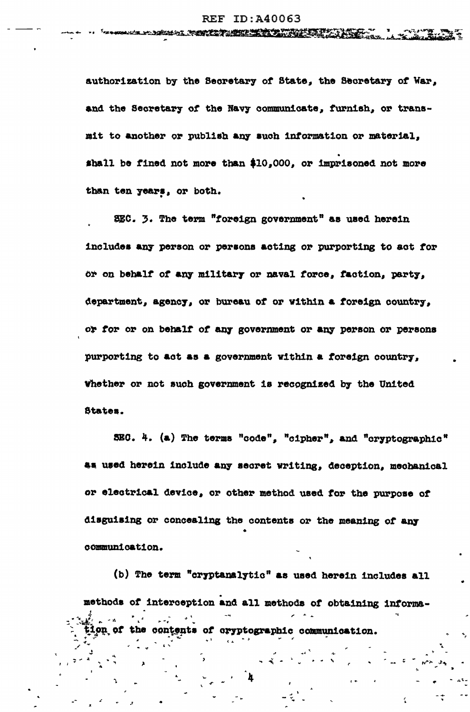authorization by the Secretary of State, the Secretary of War, and the Secretary of the Navy communicate, furnish, or transmit to another or publish any such information or material, shall be fined not more than \$10,000, or imprisoned not more than ten years, or both.

SEC. 3. The term "foreign government" as used herein includes any person or persons acting or purporting to act for or on behalf of any military or naval force, faction, party, department, agency, or bureau of or within a foreign country, or for or on behalf of any government or any person or persons purporting to act as a government within a foreign country, Whether or not such government is recognized by the United States.

SEC. 4. (a) The terms "code", "cipher", and "cryptographic" as used herein include any secret writing, deception, mechanical or electrical device, or other method used for the purpose of disguising or concealing the contents or the meaning of any communication.

(b) The term "cryptanalytic" as used herein includes all methods of interception and all methods of obtaining informacontents of cryptographic communication.